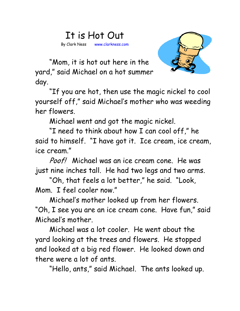## It is Hot Out

By Clark Ness www.clarkness.com



 "Mom, it is hot out here in the yard," said Michael on a hot summer day.

 "If you are hot, then use the magic nickel to cool yourself off," said Michael's mother who was weeding her flowers.

Michael went and got the magic nickel.

 "I need to think about how I can cool off," he said to himself. "I have got it. Ice cream, ice cream, ice cream."

Poof! Michael was an ice cream cone. He was just nine inches tall. He had two legs and two arms.

 "Oh, that feels a lot better," he said. "Look, Mom. I feel cooler now."

 Michael's mother looked up from her flowers. "Oh, I see you are an ice cream cone. Have fun," said Michael's mother.

 Michael was a lot cooler. He went about the yard looking at the trees and flowers. He stopped and looked at a big red flower. He looked down and there were a lot of ants.

"Hello, ants," said Michael. The ants looked up.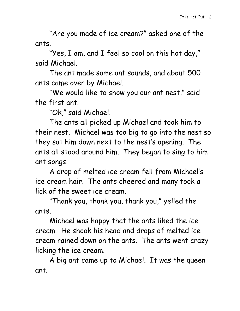"Are you made of ice cream?" asked one of the ants.

 "Yes, I am, and I feel so cool on this hot day," said Michael.

 The ant made some ant sounds, and about 500 ants came over by Michael.

 "We would like to show you our ant nest," said the first ant.

"Ok," said Michael.

 The ants all picked up Michael and took him to their nest. Michael was too big to go into the nest so they sat him down next to the nest's opening. The ants all stood around him. They began to sing to him ant songs.

A drop of melted ice cream fell from Michael's ice cream hair. The ants cheered and many took a lick of the sweet ice cream.

"Thank you, thank you, thank you," yelled the ants.

Michael was happy that the ants liked the ice cream. He shook his head and drops of melted ice cream rained down on the ants. The ants went crazy licking the ice cream.

A big ant came up to Michael. It was the queen ant.